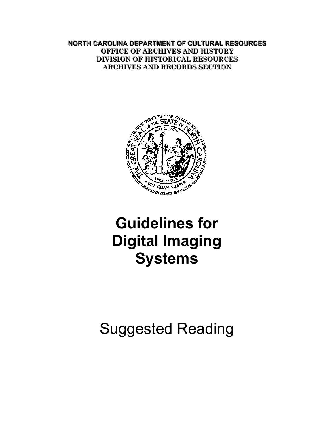**NORTH CAROLINA DEPARTMENT OF CULTURAL RESOURCES OFFICE OF ARCHIVES AND HISTORY DIVISION OF HISTORICAL RESOURCES ARCHIVES AND RECORDS SECTION** 



# **Guidelines for Digital Imaging Systems**

Suggested Reading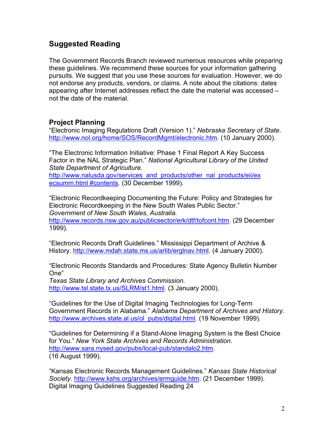## **Suggested Reading**

The Government Records Branch reviewed numerous resources while preparing these guidelines. We recommend these sources for your information gathering pursuits. We suggest that you use these sources for evaluation. However, we do not endorse any products, vendors, or claims. A note about the citations: dates appearing after Internet addresses reflect the date the material was accessed – not the date of the material.

## **Project Planning**

"Electronic Imaging Regulations Draft (Version 1)." *Nebraska Secretary of State*. <http://www.nol.org/home/SOS/RecordMgmt/electronic.htm>. (10 January 2000).

"The Electronic Information Initiative: Phase 1 Final Report A Key Success Factor in the NAL Strategic Plan." *National Agricultural Library of the United State Department of Agriculture.* 

http://www.nalusda.gov/services\_and\_products/other\_nal\_products/eii/ex ecsumm.html #contents. (30 December 1999).

"Electronic Recordkeeping Documenting the Future: Policy and Strategies for Electronic Recordkeeping in the New South Wales Public Sector." *Government of New South Wales, Australia.*  <http://www.records.nsw.gov.au/publicsector/erk/dtf/tofcont.htm>. (29 December 1999).

"Electronic Records Draft Guidelines." Mississippi Department of Archive & History. [http://www.mdah.state.ms.us/arlib/erglnav.html.](http://www.mdah.state.ms.us/arlib/erglnav.html) (4 January 2000).

"Electronic Records Standards and Procedures: State Agency Bulletin Number One"

*Texas State Library and Archives Commission.*  <http://www.tsl.state.tx.us/SLRM/st1.html>. (3 January 2000).

"Guidelines for the Use of Digital Imaging Technologies for Long-Term Government Records in Alabama." *Alabama Department of Archives and History*. [http://www.archives.state.al.us/ol\\_pubs/digital.html](http://www.archives.state.al.us/ol_pubs/digital.html). (19 November 1999).

"Guidelines for Determining if a Stand-Alone Imaging System is the Best Choice for You." *New York State Archives and Records Administration*. [http://www.sara.nysed.gov/pubs/local-pub/standalo2.htm.](http://www.sara.nysed.gov/pubs/local-pub/standalo2.htm) (16 August 1999).

"Kansas Electronic Records Management Guidelines." *Kansas State Historical Society.* <http://www.kshs.org/archives/ermguide.htm>. (21 December 1999). Digital Imaging Guidelines Suggested Reading 24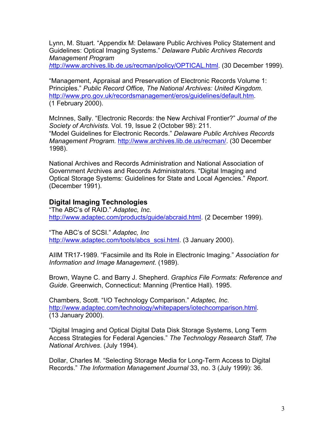Lynn, M. Stuart. "Appendix M: Delaware Public Archives Policy Statement and Guidelines: Optical Imaging Systems." *Delaware Public Archives Records Management Program* 

*h*[ttp://www.archives.lib.de.us/recman/policy/OPTICAL.html](http://www.archives.lib.de.us/recman/policy/OPTICAL.html). (30 December 1999).

"Management, Appraisal and Preservation of Electronic Records Volume 1: Principles." *Public Record Office, The National Archives: United Kingdom*. <http://www.pro.gov.uk/recordsmanagement/eros/guidelines/default.htm>. (1 February 2000).

McInnes, Sally. "Electronic Records: the New Archival Frontier?" *Journal of the Society of Archivists.* Vol. 19, Issue 2 (October 98): 211. "Model Guidelines for Electronic Records." *Delaware Public Archives Records Management Program.* [http://www.archives.lib.de.us/recman/.](http://www.archives.lib.de.us/recman/) (30 December 1998).

National Archives and Records Administration and National Association of Government Archives and Records Administrators. "Digital Imaging and Optical Storage Systems: Guidelines for State and Local Agencies." *Report*. (December 1991).

### **Digital Imaging Technologies**

"The ABC's of RAID." *Adaptec, Inc.*  [http://www.adaptec.com/products/guide/abcraid.html.](http://www.adaptec.com/products/guide/abcraid.html) (2 December 1999).

"The ABC's of SCSI." *Adaptec, Inc*  [http://www.adaptec.com/tools/abcs\\_scsi.html.](http://www.adaptec.com/tools/abcs_scsi.html) (3 January 2000).

AIIM TR17-1989. "Facsimile and Its Role in Electronic Imaging." *Association for Information and Image Management*. (1989).

Brown, Wayne C. and Barry J. Shepherd. *Graphics File Formats: Reference and Guide*. Greenwich, Connecticut: Manning (Prentice Hall). 1995.

Chambers, Scott. "I/O Technology Comparison." *Adaptec, Inc*. [http://www.adaptec.com/technology/whitepapers/iotechcomparison.html.](http://www.adaptec.com/technology/whitepapers/iotechcomparison.html) (13 January 2000).

"Digital Imaging and Optical Digital Data Disk Storage Systems, Long Term Access Strategies for Federal Agencies." *The Technology Research Staff, The National Archives*. (July 1994).

Dollar, Charles M. "Selecting Storage Media for Long-Term Access to Digital Records." *The Information Management Journal* 33, no. 3 (July 1999): 36.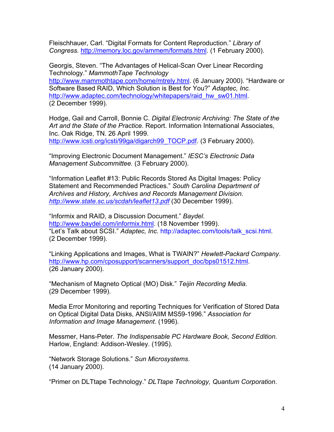Fleischhauer, Carl. "Digital Formats for Content Reproduction." *Library of Congress.* [http://memory.loc.gov/ammem/formats.html.](http://memory.loc.gov/ammem/formats.html) (1 February 2000).

Georgis, Steven. "The Advantages of Helical-Scan Over Linear Recording Technology." *MammothTape Technology*  <http://www.mammothtape.com/home/mtrely.html>. (6 January 2000). "Hardware or Software Based RAID, Which Solution is Best for You?" *Adaptec, Inc.*  [http://www.adaptec.com/technology/whitepapers/raid\\_hw\\_sw01.html](http://www.adaptec.com/technology/whitepapers/raid_hw_sw01.html). (2 December 1999).

Hodge, Gail and Carroll, Bonnie C. *Digital Electronic Archiving: The State of the Art and the State of the Practice.* Report. Information International Associates, Inc. Oak Ridge, TN. 26 April 1999. [http://www.icsti.org/icsti/99ga/digarch99\\_TOCP.pdf.](http://www.icsti.org/icsti/99ga/digarch99_TOCP.pdf) (3 February 2000).

"Improving Electronic Document Management." *IESC's Electronic Data Management Subcommittee.* (3 February 2000).

"Information Leaflet #13: Public Records Stored As Digital Images: Policy Statement and Recommended Practices." *South Carolina Department of Archives and History, Archives and Records Management Division. <http://www.state.sc.us/scdah/leaflet13.pdf>* (30 December 1999).

"Informix and RAID, a Discussion Document." *Baydel*. <http://www.baydel.com/informix.html>. (18 November 1999). "Let's Talk about SCSI." *Adaptec, Inc.* http://adaptec.com/tools/talk\_scsi.html. (2 December 1999).

"Linking Applications and Images, What is TWAIN?" *Hewlett-Packard Company*. http://www.hp.com/cposupport/scanners/support\_doc/bps01512.html (26 January 2000).

"Mechanism of Magneto Optical (MO) Disk." *Teijin Recording Media*. (29 December 1999).

Media Error Monitoring and reporting Techniques for Verification of Stored Data on Optical Digital Data Disks, ANSI/AIIM MS59-1996." *Association for Information and Image Management*. (1996).

Messmer, Hans-Peter. *The Indispensable PC Hardware Book, Second Edition.*  Harlow, England: Addison-Wesley. (1995).

"Network Storage Solutions." *Sun Microsystems*. (14 January 2000).

"Primer on DLTtape Technology." *DLTtape Technology, Quantum Corporation*.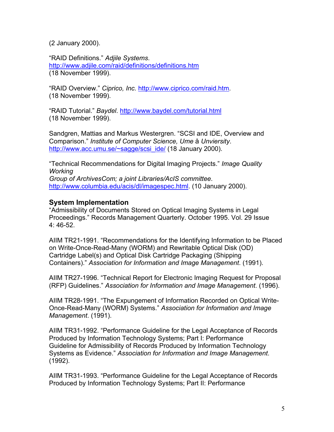(2 January 2000).

"RAID Definitions." *Adjile Systems*. <http://www.adjile.com/raid/definitions/definitions.htm> (18 November 1999).

"RAID Overview." *Ciprico, Inc.* <http://www.ciprico.com/raid.htm>. (18 November 1999).

"RAID Tutorial." *Baydel*. <http://www.baydel.com/tutorial.html> (18 November 1999).

Sandgren, Mattias and Markus Westergren. "SCSI and IDE, Overview and Comparison." *Institute of Computer Science, Ume* å *Unviersity*. [http://www.acc.umu.se/~sagge/scsi\\_ide/](http://www.acc.umu.se/~sagge/scsi_ide/) (18 January 2000).

"Technical Recommendations for Digital Imaging Projects." *Image Quality Working* 

*Group of ArchivesCom; a joint Libraries/AcIS committee*. <http://www.columbia.edu/acis/dl/imagespec.html>. (10 January 2000).

#### **System Implementation**

"Admissibility of Documents Stored on Optical Imaging Systems in Legal Proceedings." Records Management Quarterly. October 1995. Vol. 29 Issue 4: 46-52.

AIIM TR21-1991. "Recommendations for the Identifying Information to be Placed on Write-Once-Read-Many (WORM) and Rewritable Optical Disk (OD) Cartridge Label(s) and Optical Disk Cartridge Packaging (Shipping Containers)." *Association for Information and Image Management*. (1991).

AIIM TR27-1996. "Technical Report for Electronic Imaging Request for Proposal (RFP) Guidelines." *Association for Information and Image Management*. (1996).

AIIM TR28-1991. "The Expungement of Information Recorded on Optical Write-Once-Read-Many (WORM) Systems." *Association for Information and Image Management*. (1991).

AIIM TR31-1992. "Performance Guideline for the Legal Acceptance of Records Produced by Information Technology Systems; Part I: Performance Guideline for Admissibility of Records Produced by Information Technology Systems as Evidence." *Association for Information and Image Management*. (1992).

AIIM TR31-1993. "Performance Guideline for the Legal Acceptance of Records Produced by Information Technology Systems; Part II: Performance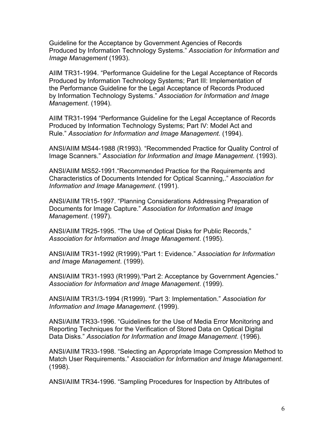Guideline for the Acceptance by Government Agencies of Records Produced by Information Technology Systems." *Association for Information and Image Management* (1993).

AIIM TR31-1994. "Performance Guideline for the Legal Acceptance of Records Produced by Information Technology Systems; Part III: Implementation of the Performance Guideline for the Legal Acceptance of Records Produced by Information Technology Systems." *Association for Information and Image Management*. (1994).

AIIM TR31-1994 "Performance Guideline for the Legal Acceptance of Records Produced by Information Technology Systems; Part IV: Model Act and Rule." *Association for Information and Image Management*. (1994).

ANSI/AIIM MS44-1988 (R1993). "Recommended Practice for Quality Control of Image Scanners." *Association for Information and Image Management*. (1993).

ANSI/AIIM MS52-1991."Recommended Practice for the Requirements and Characteristics of Documents Intended for Optical Scanning,." *Association for Information and Image Management*. (1991).

ANSI/AIIM TR15-1997. "Planning Considerations Addressing Preparation of Documents for Image Capture." *Association for Information and Image Management*. (1997).

ANSI/AIIM TR25-1995. "The Use of Optical Disks for Public Records," *Association for Information and Image Management*. (1995).

ANSI/AIIM TR31-1992 (R1999)."Part 1: Evidence." *Association for Information and Image Management*. (1999).

ANSI/AIIM TR31-1993 (R1999)."Part 2: Acceptance by Government Agencies." *Association for Information and Image Management*. (1999).

ANSI/AIIM TR31/3-1994 (R1999). "Part 3: Implementation." *Association for Information and Image Management*. (1999).

ANSI/AIIM TR33-1996. "Guidelines for the Use of Media Error Monitoring and Reporting Techniques for the Verification of Stored Data on Optical Digital Data Disks." *Association for Information and Image Management*. (1996).

ANSI/AIIM TR33-1998. "Selecting an Appropriate Image Compression Method to Match User Requirements." *Association for Information and Image Management*. (1998).

ANSI/AIIM TR34-1996. "Sampling Procedures for Inspection by Attributes of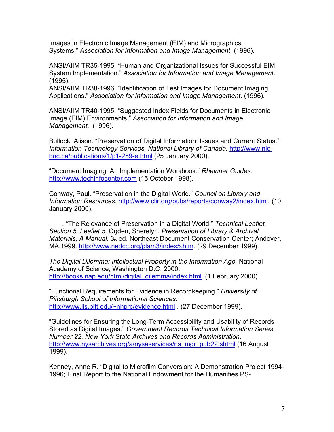Images in Electronic Image Management (EIM) and Micrographics Systems," *Association for Information and Image Management*. (1996).

ANSI/AIIM TR35-1995. "Human and Organizational Issues for Successful EIM System Implementation." *Association for Information and Image Management*. (1995).

ANSI/AIIM TR38-1996. "Identification of Test Images for Document Imaging Applications." *Association for Information and Image Management*. (1996).

ANSI/AIIM TR40-1995. "Suggested Index Fields for Documents in Electronic Image (EIM) Environments." *Association for Information and Image Management*. (1996).

Bullock, Alison. "Preservation of Digital Information: Issues and Current Status." *Information Technology Services, National Library of Canada.* [http://www.nlc](http://www.nlc-bnc.ca/publications/1/p1-259-e.html)[bnc.ca/publications/1/p1-259-e.html](http://www.nlc-bnc.ca/publications/1/p1-259-e.html) (25 January 2000).

"Document Imaging: An Implementation Workbook." *Rheinner Guides*. [http://www.techinfocenter.com](http://www.techinfocenter.com/) (15 October 1998).

Conway, Paul. "Preservation in the Digital World." *Council on Library and Information Resources.* <http://www.clir.org/pubs/reports/conway2/index.html>. (10 January 2000).

——. "The Relevance of Preservation in a Digital World." *Technical Leaflet, Section 5, Leaflet 5.* Ogden, Sherelyn. *Preservation of Library & Archival Materials: A Manual.* 3rd ed. Northeast Document Conservation Center; Andover, MA.1999. [http://www.nedcc.org/plam3/index5.htm.](http://www.nedcc.org/plam3/index5.htm) (29 December 1999).

*The Digital Dilemma: Intellectual Property in the Information Age.* National Academy of Science; Washington D.C. 2000. [http://books.nap.edu/html/digital\\_dilemma/index.html.](http://books.nap.edu/html/digital_dilemma/index.html) (1 February 2000).

"Functional Requirements for Evidence in Recordkeeping*.*" *University of Pittsburgh School of Informational Sciences*. <http://www.lis.pitt.edu/~nhprc/evidence.html> . (27 December 1999).

"Guidelines for Ensuring the Long-Term Accessibility and Usability of Records Stored as Digital Images." *Government Records Technical Information Series Number 22. New York State Archives and Records Administration*. [http://www.nysarchives.org/a/nysaservices/ns\\_mgr\\_pub22.shtml](http://www.nysarchives.org/a/nysaservices/ns_mgr_pub22.shtml) (16 August 1999).

Kenney, Anne R. "Digital to Microfilm Conversion: A Demonstration Project 1994- 1996; Final Report to the National Endowment for the Humanities PS-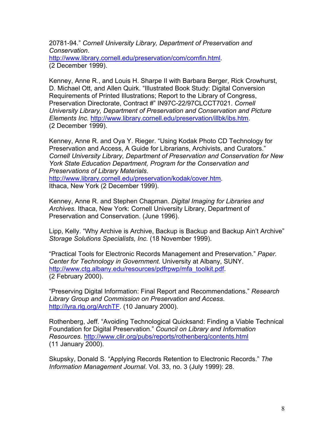20781-94." *Cornell University Library, Department of Preservation and Conservation*. <http://www.library.cornell.edu/preservation/com/comfin.html>.

(2 December 1999).

Kenney, Anne R., and Louis H. Sharpe II with Barbara Berger, Rick Crowhurst, D. Michael Ott, and Allen Quirk. "Illustrated Book Study: Digital Conversion Requirements of Printed Illustrations; Report to the Library of Congress, Preservation Directorate, Contract #" IN97C-22/97CLCCT7021. *Cornell University Library, Department of Preservation and Conservation and Picture Elements Inc.* <http://www.library.cornell.edu/preservation/illbk/ibs.htm>. (2 December 1999).

Kenney, Anne R. and Oya Y. Rieger. "Using Kodak Photo CD Technology for Preservation and Access, A Guide for Librarians, Archivists, and Curators." *Cornell University Library, Department of Preservation and Conservation for New York State Education Department, Program for the Conservation and Preservations of Library Materials*.

[http://www.library.cornell.edu/preservation/kodak/cover.htm.](http://www.library.cornell.edu/preservation/kodak/cover.htm) Ithaca, New York (2 December 1999).

Kenney, Anne R. and Stephen Chapman. *Digital Imaging for Libraries and Archives.* Ithaca, New York: Cornell University Library, Department of Preservation and Conservation. (June 1996).

Lipp, Kelly. "Why Archive is Archive, Backup is Backup and Backup Ain't Archive" *Storage Solutions Specialists, Inc.* (18 November 1999).

"Practical Tools for Electronic Records Management and Preservation." *Paper. Center for Technology in Government.* University at Albany, SUNY. [http://www.ctg.albany.edu/resources/pdfrpwp/mfa\\_toolkit.pdf.](http://www.ctg.albany.edu/resources/pdfrpwp/mfa_toolkit.pdf) (2 February 2000).

"Preserving Digital Information: Final Report and Recommendations." *Research Library Group and Commission on Preservation and Access*. <http://lyra.rlg.org/ArchTF>. (10 January 2000).

Rothenberg, Jeff. "Avoiding Technological Quicksand: Finding a Viable Technical Foundation for Digital Preservation." *Council on Library and Information Resources.* <http://www.clir.org/pubs/reports/rothenberg/contents.html> (11 January 2000).

Skupsky, Donald S. "Applying Records Retention to Electronic Records." *The Information Management Journal*. Vol. 33, no. 3 (July 1999): 28.